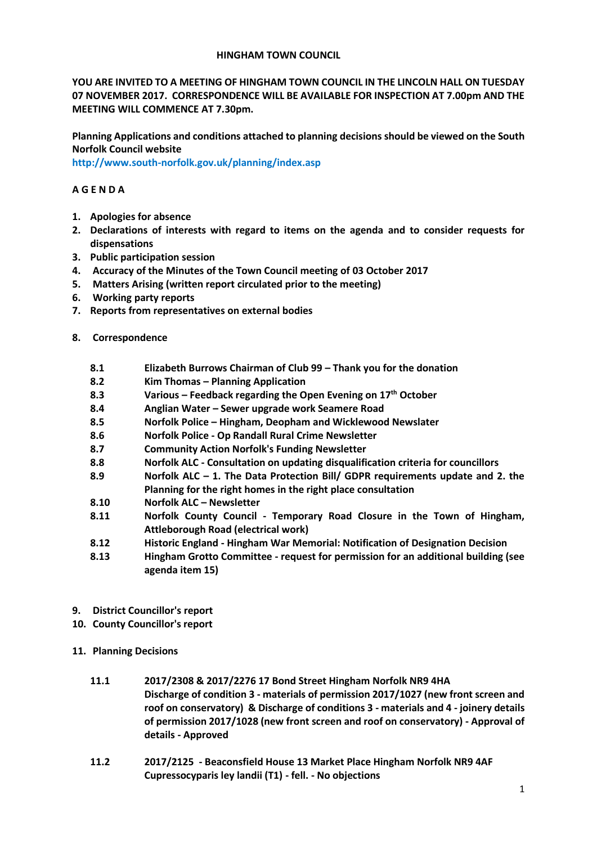## **HINGHAM TOWN COUNCIL**

**YOU ARE INVITED TO A MEETING OF HINGHAM TOWN COUNCIL IN THE LINCOLN HALL ON TUESDAY 07 NOVEMBER 2017. CORRESPONDENCE WILL BE AVAILABLE FOR INSPECTION AT 7.00pm AND THE MEETING WILL COMMENCE AT 7.30pm.** 

**Planning Applications and conditions attached to planning decisions should be viewed on the South Norfolk Council website** 

**<http://www.south-norfolk.gov.uk/planning/index.asp>**

## **A G E N D A**

- **1. Apologies for absence**
- **2. Declarations of interests with regard to items on the agenda and to consider requests for dispensations**
- **3. Public participation session**
- **4. Accuracy of the Minutes of the Town Council meeting of 03 October 2017**
- **5. Matters Arising (written report circulated prior to the meeting)**
- **6. Working party reports**
- **7. Reports from representatives on external bodies**
- **8. Correspondence** 
	- **8.1 Elizabeth Burrows Chairman of Club 99 – Thank you for the donation**
	- **8.2 Kim Thomas – Planning Application**
	- **8.3 Various – Feedback regarding the Open Evening on 17th October**
	- **8.4 Anglian Water – Sewer upgrade work Seamere Road**
	- **8.5 Norfolk Police – Hingham, Deopham and Wicklewood Newslater**
	- **8.6 Norfolk Police - Op Randall Rural Crime Newsletter**
	- **8.7 Community Action Norfolk's Funding Newsletter**
	- **8.8 Norfolk ALC - Consultation on updating disqualification criteria for councillors**
	- **8.9 Norfolk ALC – 1. The Data Protection Bill/ GDPR requirements update and 2. the Planning for the right homes in the right place consultation**
	- **8.10 Norfolk ALC – Newsletter**
	- **8.11 Norfolk County Council - Temporary Road Closure in the Town of Hingham, Attleborough Road (electrical work)**
	- **8.12 Historic England - Hingham War Memorial: Notification of Designation Decision**
	- **8.13 Hingham Grotto Committee - request for permission for an additional building (see agenda item 15)**
- **9. District Councillor's report**
- **10. County Councillor's report**
- **11. Planning Decisions**
	- **11.1 2017/2308 & 2017/2276 17 Bond Street Hingham Norfolk NR9 4HA Discharge of condition 3 - materials of permission 2017/1027 (new front screen and roof on conservatory) & Discharge of conditions 3 - materials and 4 - joinery details of permission 2017/1028 (new front screen and roof on conservatory) - Approval of details - Approved**
	- **11.2 2017/2125 - Beaconsfield House 13 Market Place Hingham Norfolk NR9 4AF Cupressocyparis ley landii (T1) - fell. - No objections**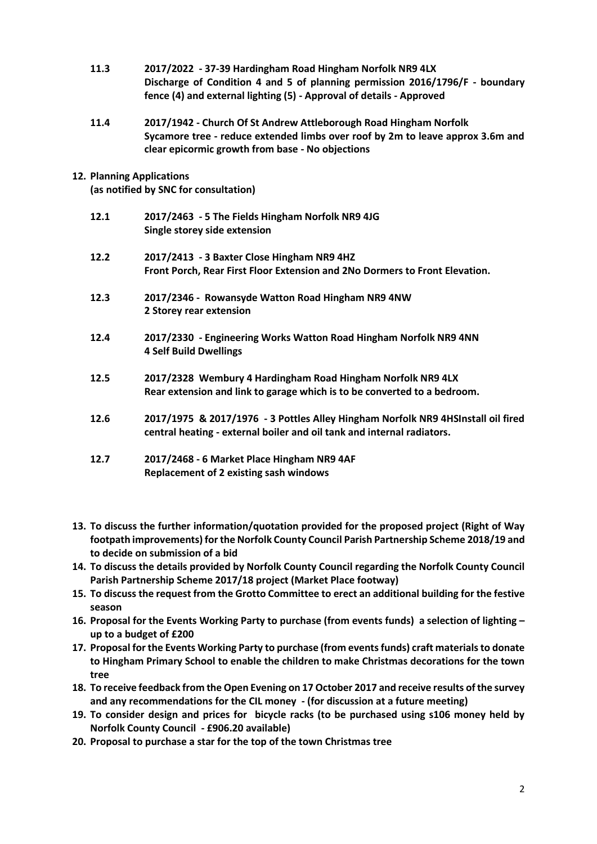- **11.3 2017/2022 - 37-39 Hardingham Road Hingham Norfolk NR9 4LX Discharge of Condition 4 and 5 of planning permission 2016/1796/F - boundary fence (4) and external lighting (5) - Approval of details - Approved**
- **11.4 2017/1942 - Church Of St Andrew Attleborough Road Hingham Norfolk Sycamore tree - reduce extended limbs over roof by 2m to leave approx 3.6m and clear epicormic growth from base - No objections**
- **12. Planning Applications**

**(as notified by SNC for consultation)**

- **12.1 2017/2463 - 5 The Fields Hingham Norfolk NR9 4JG Single storey side extension**
- **12.2 2017/2413 - 3 Baxter Close Hingham NR9 4HZ Front Porch, Rear First Floor Extension and 2No Dormers to Front Elevation.**
- **12.3 2017/2346 Rowansyde Watton Road Hingham NR9 4NW 2 Storey rear extension**
- **12.4 2017/2330 - Engineering Works Watton Road Hingham Norfolk NR9 4NN 4 Self Build Dwellings**
- **12.5 2017/2328 Wembury 4 Hardingham Road Hingham Norfolk NR9 4LX Rear extension and link to garage which is to be converted to a bedroom.**
- **12.6 2017/1975 & 2017/1976 - 3 Pottles Alley Hingham Norfolk NR9 4HSInstall oil fired central heating - external boiler and oil tank and internal radiators.**
- **12.7 2017/2468 - 6 Market Place Hingham NR9 4AF Replacement of 2 existing sash windows**
- **13. To discuss the further information/quotation provided for the proposed project (Right of Way footpath improvements) for the Norfolk County Council Parish Partnership Scheme 2018/19 and to decide on submission of a bid**
- **14. To discuss the details provided by Norfolk County Council regarding the Norfolk County Council Parish Partnership Scheme 2017/18 project (Market Place footway)**
- **15. To discuss the request from the Grotto Committee to erect an additional building for the festive season**
- **16. Proposal for the Events Working Party to purchase (from events funds) a selection of lighting – up to a budget of £200**
- **17. Proposal for the Events Working Party to purchase (from events funds) craft materials to donate to Hingham Primary School to enable the children to make Christmas decorations for the town tree**
- **18. To receive feedback from the Open Evening on 17 October 2017 and receive results of the survey and any recommendations for the CIL money - (for discussion at a future meeting)**
- **19. To consider design and prices for bicycle racks (to be purchased using s106 money held by Norfolk County Council - £906.20 available)**
- **20. Proposal to purchase a star for the top of the town Christmas tree**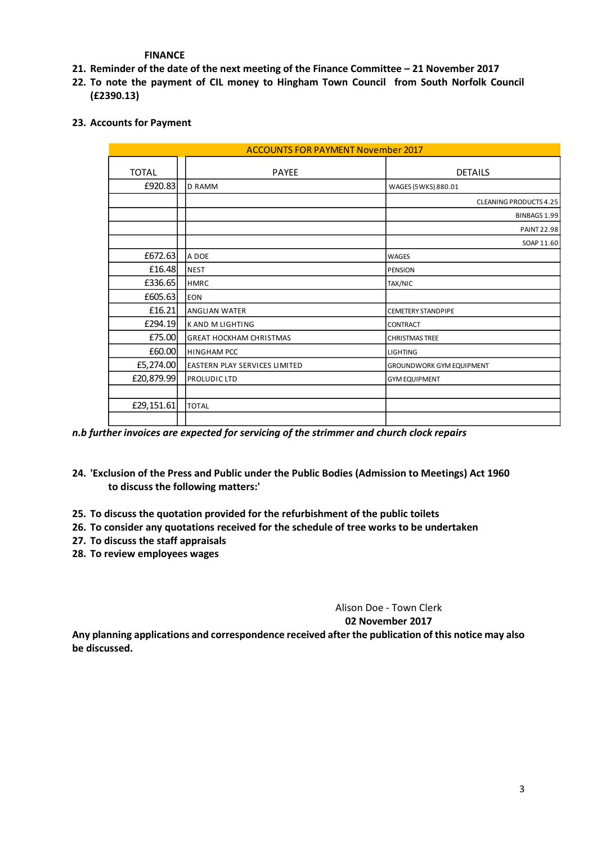**FINANCE** 

- **21. Reminder of the date of the next meeting of the Finance Committee – 21 November 2017**
- **22. To note the payment of CIL money to Hingham Town Council from South Norfolk Council (£2390.13)**
- **23. Accounts for Payment**

| <b>ACCOUNTS FOR PAYMENT November 2017</b> |                                |                                 |
|-------------------------------------------|--------------------------------|---------------------------------|
| <b>TOTAL</b>                              | <b>PAYEE</b>                   | <b>DETAILS</b>                  |
| £920.83                                   | <b>D RAMM</b>                  | WAGES (5WKS) 880.01             |
|                                           |                                | <b>CLEANING PRODUCTS 4.25</b>   |
|                                           |                                | BINBAGS 1.99                    |
|                                           |                                | <b>PAINT 22.98</b>              |
|                                           |                                | SOAP 11.60                      |
| £672.63                                   | A DOE                          | WAGES                           |
| £16.48                                    | <b>NEST</b>                    | <b>PENSION</b>                  |
| £336.65                                   | <b>HMRC</b>                    | <b>TAX/NIC</b>                  |
| £605.63                                   | <b>EON</b>                     |                                 |
| £16.21                                    | <b>ANGLIAN WATER</b>           | <b>CEMETERY STANDPIPE</b>       |
| £294.19                                   | <b>KAND M LIGHTING</b>         | <b>CONTRACT</b>                 |
| £75.00                                    | <b>GREAT HOCKHAM CHRISTMAS</b> | <b>CHRISTMAS TREE</b>           |
| £60.00                                    | <b>HINGHAM PCC</b>             | <b>LIGHTING</b>                 |
| £5,274.00                                 | EASTERN PLAY SERVICES LIMITED  | <b>GROUNDWORK GYM EQUIPMENT</b> |
| £20,879.99                                | PROLUDIC LTD                   | <b>GYM EQUIPMENT</b>            |
|                                           |                                |                                 |
| £29,151.61                                | <b>TOTAL</b>                   |                                 |
|                                           |                                |                                 |

*n.b further invoices are expected for servicing of the strimmer and church clock repairs*

- **24. 'Exclusion of the Press and Public under the Public Bodies (Admission to Meetings) Act 1960 to discuss the following matters:'**
- **25. To discuss the quotation provided for the refurbishment of the public toilets**
- **26. To consider any quotations received for the schedule of tree works to be undertaken**
- **27. To discuss the staff appraisals**
- **28. To review employees wages**

Alison Doe - Town Clerk **02 November 2017**

**Any planning applications and correspondence received after the publication of this notice may also be discussed.**